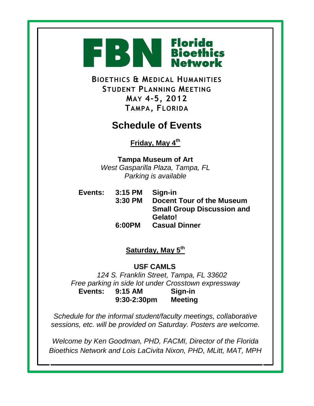

**BIOETHICS & MEDICAL HUMANITIES STUDENT PLANNING MEETING MAY 4-5, 2012 TAMPA, FLORIDA**

## **Schedule of Events**

**Friday, May 4th**

**Tampa Museum of Art** *West Gasparilla Plaza, Tampa, FL Parking is available*

**Events: 3:15 PM Sign-in 3:30 PM Docent Tour of the Museum Small Group Discussion and Gelato! 6:00PM Casual Dinner**

## **Saturday, May 5th**

**USF CAMLS**

*124 S. Franklin Street, Tampa, FL 33602 Free parking in side lot under Crosstown expressway* **Events: 9:15 AM Sign-in 9:30-2:30pm Meeting**

*Schedule for the informal student/faculty meetings, collaborative sessions, etc. will be provided on Saturday. Posters are welcome.*

*Welcome by Ken Goodman, PHD, FACMI, Director of the Florida Bioethics Network and Lois LaCivita Nixon, PHD, MLitt, MAT, MPH*